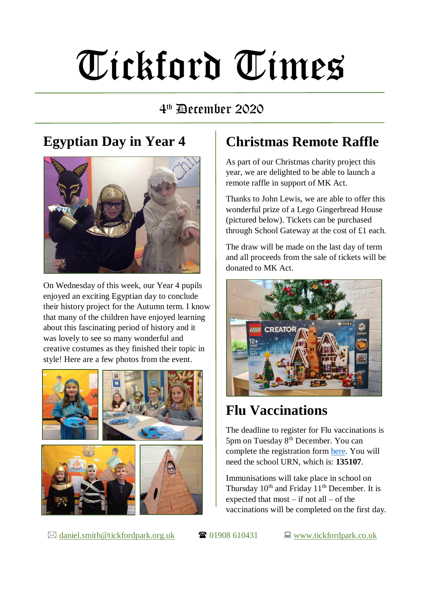# Tickford Times

#### 4 th December 2020

#### **Egyptian Day in Year 4**



On Wednesday of this week, our Year 4 pupils enjoyed an exciting Egyptian day to conclude their history project for the Autumn term. I know that many of the children have enjoyed learning about this fascinating period of history and it was lovely to see so many wonderful and creative costumes as they finished their topic in style! Here are a few photos from the event.



### **Christmas Remote Raffle**

As part of our Christmas charity project this year, we are delighted to be able to launch a remote raffle in support of MK Act.

Thanks to John Lewis, we are able to offer this wonderful prize of a Lego Gingerbread House (pictured below). Tickets can be purchased through School Gateway at the cost of £1 each.

The draw will be made on the last day of term and all proceeds from the sale of tickets will be donated to MK Act.



# **Flu Vaccinations**

The deadline to register for Flu vaccinations is 5pm on Tuesday 8th December. You can complete the registration form [here.](https://immsconsent.eput.nhs.uk/FluConsent/Form1/#!/Page1) You will need the school URN, which is: **135107**.

Immunisations will take place in school on Thursday  $10^{th}$  and Friday  $11^{th}$  December. It is expected that most – if not all – of the vaccinations will be completed on the first day.

 $\boxtimes$  [daniel.smith@tickfordpark.org.uk](mailto:daniel.smith@tickfordpark.org.uk)  $\bullet$  01908 610431  $\Box$  [www.tickfordpark.co.uk](http://www.tickfordpark.co.uk/)